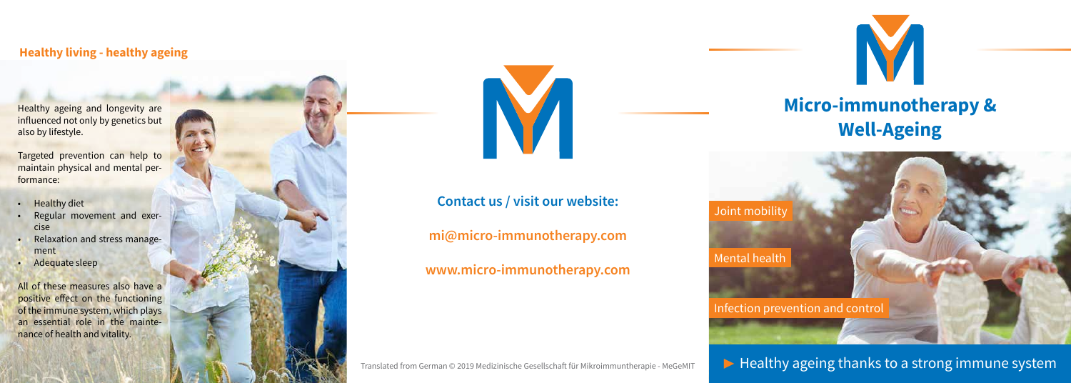## **Micro-immunotherapy & Well-Ageing**



 $\blacktriangleright$  Healthy ageing thanks to a strong immune system

Infection prevention and control





Joint mobility

Mental health

Healthy ageing and longevity are influenced not only by genetics but also by lifestyle.

Targeted prevention can help to maintain physical and mental performance:

- Healthy diet
- Regular movement and exercise
- Relaxation and stress management
- Adequate sleep

All of these measures also have a positive effect on the functioning of the immune system, which plays an essential role in the maintenance of health and vitality.



#### **Healthy living - healthy ageing**

## **Contact us / visit our website:**

**mi@micro-immunotherapy.com**

**www.micro-immunotherapy.com**

Translated from German © 2019 Medizinische Gesellschaft für Mikroimmuntherapie - MeGeMIT